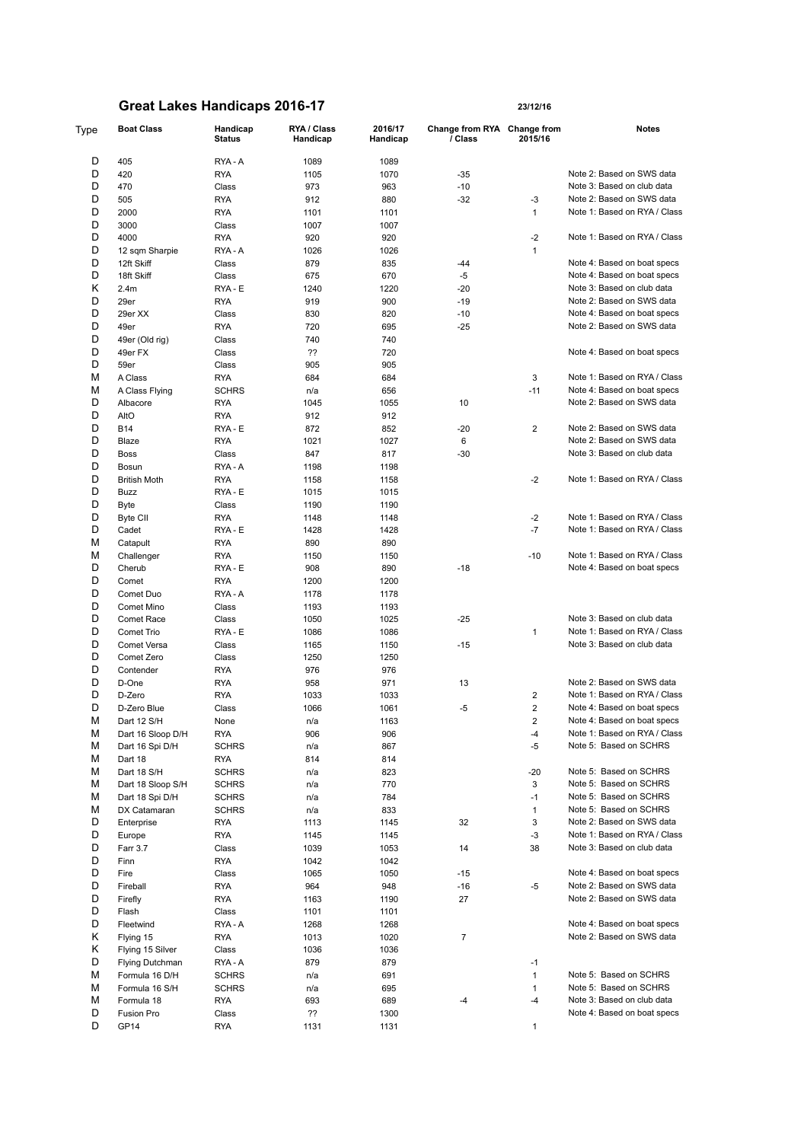| Type | <b>Boat Class</b>   | Handicap<br><b>Status</b> | RYA / Class<br>Handicap | 2016/17<br>Handicap | Change from RYA Change from<br>/ Class | 2015/16        | <b>Notes</b>                 |
|------|---------------------|---------------------------|-------------------------|---------------------|----------------------------------------|----------------|------------------------------|
| D    | 405                 | RYA-A                     | 1089                    | 1089                |                                        |                |                              |
| D    | 420                 | <b>RYA</b>                | 1105                    | 1070                | $-35$                                  |                | Note 2: Based on SWS data    |
| D    | 470                 | Class                     | 973                     | 963                 | $-10$                                  |                | Note 3: Based on club data   |
| D    | 505                 | <b>RYA</b>                | 912                     | 880                 | $-32$                                  | -3             | Note 2: Based on SWS data    |
| D    | 2000                | <b>RYA</b>                | 1101                    | 1101                |                                        | $\mathbf{1}$   | Note 1: Based on RYA / Class |
| D    | 3000                | Class                     | 1007                    | 1007                |                                        |                |                              |
| D    | 4000                | <b>RYA</b>                | 920                     | 920                 |                                        | $-2$           | Note 1: Based on RYA / Class |
| D    | 12 sqm Sharpie      | RYA-A                     | 1026                    | 1026                |                                        | $\mathbf{1}$   |                              |
| D    | 12ft Skiff          | Class                     | 879                     | 835                 | $-44$                                  |                | Note 4: Based on boat specs  |
| D    | 18ft Skiff          | Class                     | 675                     | 670                 | $-5$                                   |                | Note 4: Based on boat specs  |
| κ    | 2.4 <sub>m</sub>    | RYA - E                   | 1240                    | 1220                | $-20$                                  |                | Note 3: Based on club data   |
| D    |                     |                           |                         |                     | $-19$                                  |                | Note 2: Based on SWS data    |
|      | 29er                | <b>RYA</b>                | 919                     | 900                 |                                        |                |                              |
| D    | 29er XX             | Class                     | 830                     | 820                 | $-10$                                  |                | Note 4: Based on boat specs  |
| D    | 49er                | <b>RYA</b>                | 720                     | 695                 | $-25$                                  |                | Note 2: Based on SWS data    |
| D    | 49er (Old rig)      | Class                     | 740                     | 740                 |                                        |                |                              |
| D    | 49er FX             | Class                     | ??                      | 720                 |                                        |                | Note 4: Based on boat specs  |
| D    | 59er                | Class                     | 905                     | 905                 |                                        |                |                              |
| М    | A Class             | <b>RYA</b>                | 684                     | 684                 |                                        | 3              | Note 1: Based on RYA / Class |
| М    | A Class Flying      | <b>SCHRS</b>              | n/a                     | 656                 |                                        | $-11$          | Note 4: Based on boat specs  |
| D    | Albacore            | <b>RYA</b>                | 1045                    | 1055                | 10                                     |                | Note 2: Based on SWS data    |
| D    | AltO                | <b>RYA</b>                | 912                     | 912                 |                                        |                |                              |
| D    | <b>B14</b>          | RYA - E                   | 872                     | 852                 | $-20$                                  | 2              | Note 2: Based on SWS data    |
| D    | Blaze               | <b>RYA</b>                | 1021                    | 1027                | 6                                      |                | Note 2: Based on SWS data    |
| D    | <b>Boss</b>         | Class                     | 847                     | 817                 | $-30$                                  |                | Note 3: Based on club data   |
| D    | Bosun               | RYA - A                   | 1198                    | 1198                |                                        |                |                              |
| D    | <b>British Moth</b> | <b>RYA</b>                | 1158                    | 1158                |                                        | $-2$           | Note 1: Based on RYA / Class |
| D    | Buzz                | RYA - E                   | 1015                    | 1015                |                                        |                |                              |
| D    | Byte                | Class                     | 1190                    | 1190                |                                        |                |                              |
| D    | Byte CII            | <b>RYA</b>                | 1148                    | 1148                |                                        | $-2$           | Note 1: Based on RYA / Class |
| D    | Cadet               | RYA - E                   | 1428                    | 1428                |                                        | $-7$           | Note 1: Based on RYA / Class |
| М    | Catapult            | <b>RYA</b>                | 890                     | 890                 |                                        |                |                              |
| М    | Challenger          | <b>RYA</b>                | 1150                    | 1150                |                                        | $-10$          | Note 1: Based on RYA / Class |
| D    | Cherub              | RYA - E                   | 908                     | 890                 | $-18$                                  |                | Note 4: Based on boat specs  |
| D    | Comet               | <b>RYA</b>                | 1200                    | 1200                |                                        |                |                              |
| D    | Comet Duo           | RYA - A                   | 1178                    | 1178                |                                        |                |                              |
| D    | Comet Mino          | Class                     | 1193                    | 1193                |                                        |                |                              |
| D    | <b>Comet Race</b>   | Class                     | 1050                    |                     | $-25$                                  |                | Note 3: Based on club data   |
|      |                     |                           |                         | 1025                |                                        |                | Note 1: Based on RYA / Class |
| D    | Comet Trio          | RYA - E                   | 1086                    | 1086                |                                        | 1              |                              |
| D    | Comet Versa         | Class                     | 1165                    | 1150                | $-15$                                  |                | Note 3: Based on club data   |
| D    | Comet Zero          | Class                     | 1250                    | 1250                |                                        |                |                              |
| D    | Contender           | <b>RYA</b>                | 976                     | 976                 |                                        |                |                              |
| D    | D-One               | <b>RYA</b>                | 958                     | 971                 | 13                                     |                | Note 2: Based on SWS data    |
| D    | D-Zero              | <b>RYA</b>                | 1033                    | 1033                |                                        | 2              | Note 1: Based on RYA / Class |
| D    | D-Zero Blue         | Class                     | 1066                    | 1061                | $-5$                                   | 2              | Note 4: Based on boat specs  |
| м    | Dart 12 S/H         | None                      | n/a                     | 1163                |                                        | $\overline{2}$ | Note 4: Based on boat specs  |
| М    | Dart 16 Sloop D/H   | <b>RYA</b>                | 906                     | 906                 |                                        | -4             | Note 1: Based on RYA / Class |
| М    | Dart 16 Spi D/H     | <b>SCHRS</b>              | n/a                     | 867                 |                                        | -5             | Note 5: Based on SCHRS       |
| М    | Dart 18             | <b>RYA</b>                | 814                     | 814                 |                                        |                |                              |
| М    | Dart 18 S/H         | <b>SCHRS</b>              | n/a                     | 823                 |                                        | $-20$          | Note 5: Based on SCHRS       |
| М    | Dart 18 Sloop S/H   | <b>SCHRS</b>              | n/a                     | 770                 |                                        | 3              | Note 5: Based on SCHRS       |
| М    | Dart 18 Spi D/H     | <b>SCHRS</b>              | n/a                     | 784                 |                                        | $-1$           | Note 5: Based on SCHRS       |
| М    | DX Catamaran        | <b>SCHRS</b>              | n/a                     | 833                 |                                        | $\mathbf{1}$   | Note 5: Based on SCHRS       |
| D    | Enterprise          | <b>RYA</b>                | 1113                    | 1145                | 32                                     | 3              | Note 2: Based on SWS data    |
| D    | Europe              | <b>RYA</b>                | 1145                    | 1145                |                                        | $-3$           | Note 1: Based on RYA / Class |
| D    | Farr 3.7            | Class                     | 1039                    | 1053                | 14                                     | 38             | Note 3: Based on club data   |
| D    | Finn                | <b>RYA</b>                | 1042                    | 1042                |                                        |                |                              |
| D    | Fire                | Class                     | 1065                    | 1050                | $-15$                                  |                | Note 4: Based on boat specs  |
| D    | Fireball            | <b>RYA</b>                | 964                     | 948                 | $-16$                                  | -5             | Note 2: Based on SWS data    |
| D    | Firefly             | <b>RYA</b>                | 1163                    | 1190                | 27                                     |                | Note 2: Based on SWS data    |
| D    | Flash               | Class                     | 1101                    | 1101                |                                        |                |                              |
| D    | Fleetwind           | RYA - A                   | 1268                    | 1268                |                                        |                | Note 4: Based on boat specs  |
| κ    | Flying 15           | <b>RYA</b>                | 1013                    | 1020                | $\overline{7}$                         |                | Note 2: Based on SWS data    |
| κ    | Flying 15 Silver    | Class                     | 1036                    | 1036                |                                        |                |                              |
| D    |                     |                           |                         |                     |                                        |                |                              |
|      | Flying Dutchman     | RYA-A                     | 879                     | 879                 |                                        | $-1$           |                              |
| М    | Formula 16 D/H      | <b>SCHRS</b>              | n/a                     | 691                 |                                        | $\mathbf{1}$   | Note 5: Based on SCHRS       |
| М    | Formula 16 S/H      | <b>SCHRS</b>              | n/a                     | 695                 |                                        | 1              | Note 5: Based on SCHRS       |
| М    | Formula 18          | <b>RYA</b>                | 693                     | 689                 | -4                                     | $-4$           | Note 3: Based on club data   |
| D    | Fusion Pro          | Class                     | ??                      | 1300                |                                        |                | Note 4: Based on boat specs  |
| D    | GP14                | <b>RYA</b>                | 1131                    | 1131                |                                        | 1              |                              |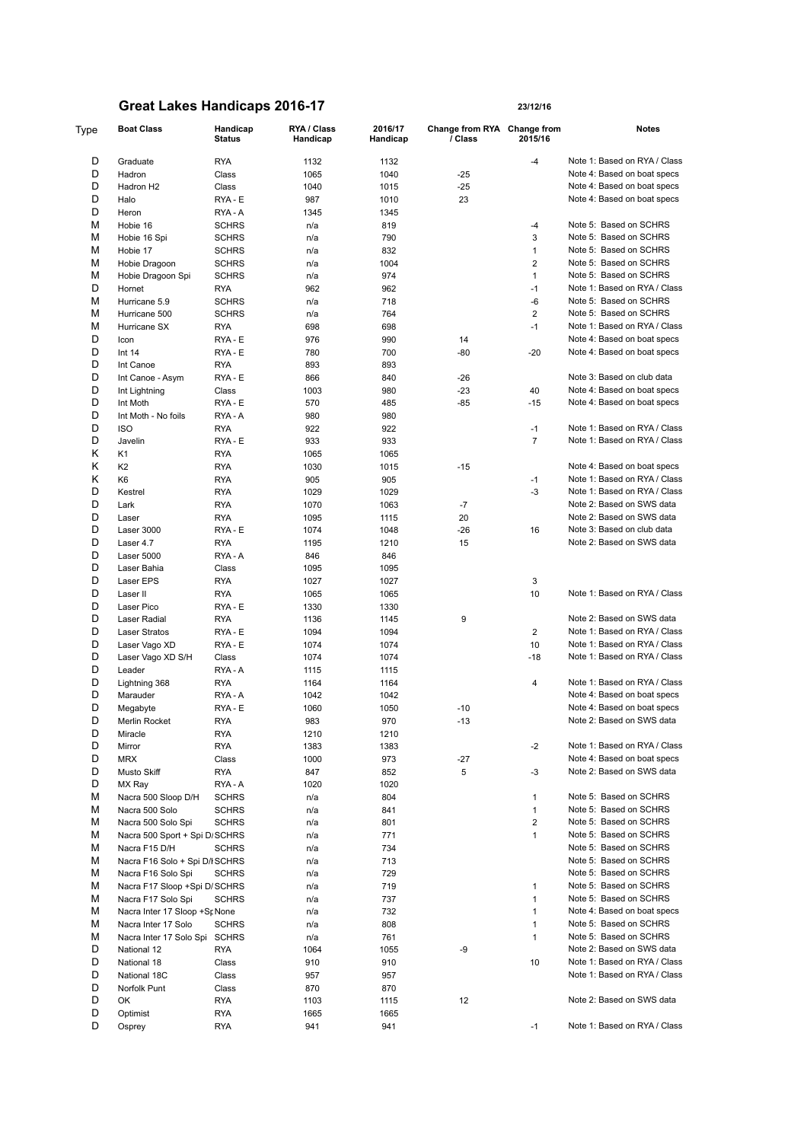| Type   | <b>Boat Class</b>             | Handicap<br><b>Status</b> | RYA / Class<br>Handicap | 2016/17<br>Handicap | Change from RYA Change from<br>/ Class | 2015/16        | Notes                                                   |
|--------|-------------------------------|---------------------------|-------------------------|---------------------|----------------------------------------|----------------|---------------------------------------------------------|
| D      | Graduate                      | <b>RYA</b>                | 1132                    | 1132                |                                        | $-4$           | Note 1: Based on RYA / Class                            |
| D      | Hadron                        | Class                     | 1065                    | 1040                | -25                                    |                | Note 4: Based on boat specs                             |
| D      | Hadron H2                     | Class                     | 1040                    | 1015                | $-25$                                  |                | Note 4: Based on boat specs                             |
| D      | Halo                          | RYA - E                   | 987                     | 1010                | 23                                     |                | Note 4: Based on boat specs                             |
| D      | Heron                         | RYA - A                   | 1345                    | 1345                |                                        |                |                                                         |
| М      | Hobie 16                      | <b>SCHRS</b>              | n/a                     | 819                 |                                        | $-4$           | Note 5: Based on SCHRS                                  |
| М      | Hobie 16 Spi                  | <b>SCHRS</b>              | n/a                     | 790                 |                                        | 3              | Note 5: Based on SCHRS                                  |
| М      | Hobie 17                      | <b>SCHRS</b>              | n/a                     | 832                 |                                        | $\mathbf{1}$   | Note 5: Based on SCHRS                                  |
| М      | Hobie Dragoon                 | <b>SCHRS</b>              | n/a                     | 1004                |                                        | 2              | Note 5: Based on SCHRS                                  |
| М      | Hobie Dragoon Spi             | <b>SCHRS</b>              | n/a                     | 974                 |                                        | $\mathbf{1}$   | Note 5: Based on SCHRS                                  |
| D      | Hornet                        | RYA                       | 962                     | 962                 |                                        | $-1$           | Note 1: Based on RYA / Class                            |
| М      | Hurricane 5.9                 | SCHRS                     | n/a                     | 718                 |                                        | -6             | Note 5: Based on SCHRS                                  |
| М      | Hurricane 500                 | <b>SCHRS</b>              | n/a                     | 764                 |                                        | $\overline{2}$ | Note 5: Based on SCHRS                                  |
| М      | Hurricane SX                  | RYA                       | 698                     | 698                 |                                        | $-1$           | Note 1: Based on RYA / Class                            |
| D      | Icon                          | RYA - E                   | 976                     | 990                 | 14                                     |                | Note 4: Based on boat specs                             |
| D      | Int $14$                      | RYA - E                   | 780                     | 700                 | -80                                    | $-20$          | Note 4: Based on boat specs                             |
| D      | Int Canoe                     | <b>RYA</b>                | 893                     | 893                 |                                        |                |                                                         |
| D      | Int Canoe - Asym              | RYA - E                   | 866                     | 840                 | -26                                    |                | Note 3: Based on club data                              |
| D      | Int Lightning                 | Class                     | 1003                    | 980                 | $-23$                                  | 40             | Note 4: Based on boat specs                             |
| D      | Int Moth                      | RYA - E                   | 570                     | 485                 | $-85$                                  | $-15$          | Note 4: Based on boat specs                             |
| D      | Int Moth - No foils           | RYA - A                   | 980                     | 980                 |                                        |                |                                                         |
| D      | <b>ISO</b>                    | <b>RYA</b>                | 922                     | 922                 |                                        | $-1$           | Note 1: Based on RYA / Class                            |
| D      | Javelin                       | RYA - E                   | 933                     | 933                 |                                        | $\overline{7}$ | Note 1: Based on RYA / Class                            |
| Κ      | K1                            | <b>RYA</b>                | 1065                    | 1065                |                                        |                |                                                         |
| κ      | K <sub>2</sub>                | <b>RYA</b>                | 1030                    | 1015                | $-15$                                  |                | Note 4: Based on boat specs                             |
| Κ      | K <sub>6</sub>                | <b>RYA</b>                | 905                     | 905                 |                                        | $-1$           | Note 1: Based on RYA / Class                            |
| D      | Kestrel                       | <b>RYA</b>                | 1029                    | 1029                |                                        | $-3$           | Note 1: Based on RYA / Class                            |
| D<br>D | Lark                          | RYA                       | 1070                    | 1063                | $-7$                                   |                | Note 2: Based on SWS data                               |
| D      | Laser                         | <b>RYA</b>                | 1095                    | 1115                | 20                                     |                | Note 2: Based on SWS data<br>Note 3: Based on club data |
| D      | Laser 3000                    | RYA - E                   | 1074                    | 1048                | $-26$                                  | 16             | Note 2: Based on SWS data                               |
| D      | Laser 4.7                     | <b>RYA</b>                | 1195                    | 1210                | 15                                     |                |                                                         |
| D      | Laser 5000<br>Laser Bahia     | RYA - A<br>Class          | 846                     | 846                 |                                        |                |                                                         |
| D      | Laser EPS                     | <b>RYA</b>                | 1095<br>1027            | 1095<br>1027        |                                        | 3              |                                                         |
| D      | Laser II                      | <b>RYA</b>                | 1065                    | 1065                |                                        | 10             | Note 1: Based on RYA / Class                            |
| D      | Laser Pico                    | RYA - E                   | 1330                    | 1330                |                                        |                |                                                         |
| D      | Laser Radial                  | RYA                       | 1136                    | 1145                | 9                                      |                | Note 2: Based on SWS data                               |
| D      | <b>Laser Stratos</b>          | RYA - E                   | 1094                    | 1094                |                                        | $\overline{2}$ | Note 1: Based on RYA / Class                            |
| D      | Laser Vago XD                 | RYA - E                   | 1074                    | 1074                |                                        | 10             | Note 1: Based on RYA / Class                            |
| D      | Laser Vago XD S/H             | Class                     | 1074                    | 1074                |                                        | $-18$          | Note 1: Based on RYA / Class                            |
| D      | Leader                        | RYA-A                     | 1115                    | 1115                |                                        |                |                                                         |
| D      | Lightning 368                 | RYA                       | 1164                    | 1164                |                                        | 4              | Note 1: Based on RYA / Class                            |
| D      | Marauder                      | RYA - A                   | 1042                    | 1042                |                                        |                | Note 4: Based on boat specs                             |
| D      | Megabyte                      | RYA - E                   | 1060                    | 1050                | $-10$                                  |                | Note 4: Based on boat specs                             |
| D      | Merlin Rocket                 | RYA                       | 983                     | 970                 | $-13$                                  |                | Note 2: Based on SWS data                               |
| D      | Miracle                       | <b>RYA</b>                | 1210                    | 1210                |                                        |                |                                                         |
| D      | Mirror                        | RYA                       | 1383                    | 1383                |                                        | -2             | Note 1: Based on RYA / Class                            |
| D      | <b>MRX</b>                    | Class                     | 1000                    | 973                 | $-27$                                  |                | Note 4: Based on boat specs                             |
| D      | Musto Skiff                   | <b>RYA</b>                | 847                     | 852                 | 5                                      | $-3$           | Note 2: Based on SWS data                               |
| D      | MX Ray                        | RYA-A                     | 1020                    | 1020                |                                        |                |                                                         |
| М      | Nacra 500 Sloop D/H           | <b>SCHRS</b>              | n/a                     | 804                 |                                        | $\mathbf{1}$   | Note 5: Based on SCHRS                                  |
| М      | Nacra 500 Solo                | <b>SCHRS</b>              | n/a                     | 841                 |                                        | $\mathbf{1}$   | Note 5: Based on SCHRS                                  |
| М      | Nacra 500 Solo Spi            | <b>SCHRS</b>              | n/a                     | 801                 |                                        | $\overline{2}$ | Note 5: Based on SCHRS                                  |
| М      | Nacra 500 Sport + Spi D/SCHRS |                           | n/a                     | 771                 |                                        | $\mathbf{1}$   | Note 5: Based on SCHRS                                  |
| М      | Nacra F15 D/H                 | <b>SCHRS</b>              | n/a                     | 734                 |                                        |                | Note 5: Based on SCHRS                                  |
| М      | Nacra F16 Solo + Spi D/ISCHRS |                           | n/a                     | 713                 |                                        |                | Note 5: Based on SCHRS                                  |
| М      | Nacra F16 Solo Spi            | <b>SCHRS</b>              | n/a                     | 729                 |                                        |                | Note 5: Based on SCHRS                                  |
| М      | Nacra F17 Sloop +Spi D/SCHRS  |                           | n/a                     | 719                 |                                        | 1              | Note 5: Based on SCHRS                                  |
| М      | Nacra F17 Solo Spi            | <b>SCHRS</b>              | n/a                     | 737                 |                                        | $\mathbf{1}$   | Note 5: Based on SCHRS                                  |
| М      | Nacra Inter 17 Sloop +St None |                           | n/a                     | 732                 |                                        | 1              | Note 4: Based on boat specs                             |
| М      | Nacra Inter 17 Solo           | <b>SCHRS</b>              | n/a                     | 808                 |                                        | $\mathbf{1}$   | Note 5: Based on SCHRS                                  |
| М      | Nacra Inter 17 Solo Spi       | SCHRS                     | n/a                     | 761                 |                                        | $\mathbf{1}$   | Note 5: Based on SCHRS                                  |
| D      | National 12                   | RYA                       | 1064                    | 1055                | -9                                     |                | Note 2: Based on SWS data                               |
| D      | National 18                   | Class                     | 910                     | 910                 |                                        | 10             | Note 1: Based on RYA / Class                            |
| D      | National 18C                  | Class                     | 957                     | 957                 |                                        |                | Note 1: Based on RYA / Class                            |
| D      | Norfolk Punt                  | Class                     | 870                     | 870                 |                                        |                |                                                         |
| D      | OK                            | RYA                       | 1103                    | 1115                | 12                                     |                | Note 2: Based on SWS data                               |
| D      | Optimist                      | <b>RYA</b>                | 1665                    | 1665                |                                        |                |                                                         |
| D      | Osprey                        | <b>RYA</b>                | 941                     | 941                 |                                        | $-1$           | Note 1: Based on RYA / Class                            |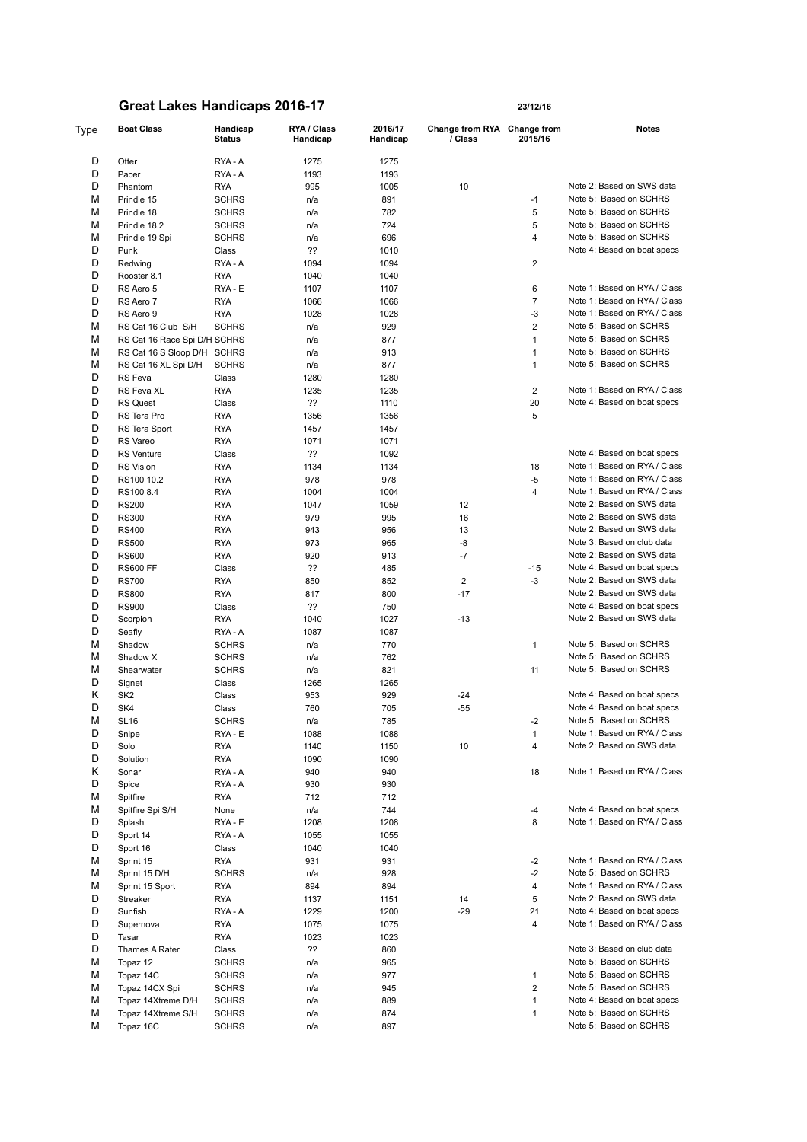| Type | <b>Boat Class</b>            | Handicap<br>Status | RYA / Class<br>Handicap | 2016/17<br>Handicap | Change from RYA Change from<br>/ Class | 2015/16        | <b>Notes</b>                 |
|------|------------------------------|--------------------|-------------------------|---------------------|----------------------------------------|----------------|------------------------------|
| D    | Otter                        | RYA - A            | 1275                    | 1275                |                                        |                |                              |
| D    | Pacer                        | RYA - A            | 1193                    | 1193                |                                        |                |                              |
| D    | Phantom                      | <b>RYA</b>         | 995                     | 1005                | 10                                     |                | Note 2: Based on SWS data    |
| М    | Prindle 15                   |                    |                         |                     |                                        | $-1$           | Note 5: Based on SCHRS       |
|      |                              | <b>SCHRS</b>       | n/a                     | 891                 |                                        |                |                              |
| М    | Prindle 18                   | <b>SCHRS</b>       | n/a                     | 782                 |                                        | 5              | Note 5: Based on SCHRS       |
| М    | Prindle 18.2                 | <b>SCHRS</b>       | n/a                     | 724                 |                                        | 5              | Note 5: Based on SCHRS       |
| М    | Prindle 19 Spi               | <b>SCHRS</b>       | n/a                     | 696                 |                                        | 4              | Note 5: Based on SCHRS       |
| D    | Punk                         | Class              | ??                      | 1010                |                                        |                | Note 4: Based on boat specs  |
| D    | Redwing                      | RYA - A            | 1094                    | 1094                |                                        | $\overline{2}$ |                              |
| D    | Rooster 8.1                  | <b>RYA</b>         | 1040                    | 1040                |                                        |                |                              |
| D    | RS Aero 5                    | RYA - E            | 1107                    | 1107                |                                        | 6              | Note 1: Based on RYA / Class |
| D    | RS Aero 7                    | <b>RYA</b>         | 1066                    | 1066                |                                        | $\overline{7}$ | Note 1: Based on RYA / Class |
| D    | RS Aero 9                    | <b>RYA</b>         | 1028                    | 1028                |                                        | $-3$           | Note 1: Based on RYA / Class |
| М    | RS Cat 16 Club S/H           | <b>SCHRS</b>       | n/a                     | 929                 |                                        | $\overline{2}$ | Note 5: Based on SCHRS       |
| М    | RS Cat 16 Race Spi D/H SCHRS |                    | n/a                     | 877                 |                                        | $\mathbf{1}$   | Note 5: Based on SCHRS       |
| М    |                              |                    |                         |                     |                                        |                | Note 5: Based on SCHRS       |
|      | RS Cat 16 S Sloop D/H SCHRS  |                    | n/a                     | 913                 |                                        | 1              |                              |
| М    | RS Cat 16 XL Spi D/H         | <b>SCHRS</b>       | n/a                     | 877                 |                                        | $\mathbf{1}$   | Note 5: Based on SCHRS       |
| D    | RS Feva                      | Class              | 1280                    | 1280                |                                        |                |                              |
| D    | RS Feva XL                   | <b>RYA</b>         | 1235                    | 1235                |                                        | 2              | Note 1: Based on RYA / Class |
| D    | <b>RS Quest</b>              | Class              | ??                      | 1110                |                                        | 20             | Note 4: Based on boat specs  |
| D    | RS Tera Pro                  | <b>RYA</b>         | 1356                    | 1356                |                                        | 5              |                              |
| D    | RS Tera Sport                | <b>RYA</b>         | 1457                    | 1457                |                                        |                |                              |
| D    | RS Vareo                     | <b>RYA</b>         | 1071                    | 1071                |                                        |                |                              |
| D    | <b>RS</b> Venture            | Class              | ??                      | 1092                |                                        |                | Note 4: Based on boat specs  |
| D    | <b>RS Vision</b>             | <b>RYA</b>         | 1134                    | 1134                |                                        | 18             | Note 1: Based on RYA / Class |
| D    |                              |                    |                         |                     |                                        |                |                              |
|      | RS100 10.2                   | <b>RYA</b>         | 978                     | 978                 |                                        | $-5$           | Note 1: Based on RYA / Class |
| D    | RS100 8.4                    | <b>RYA</b>         | 1004                    | 1004                |                                        | 4              | Note 1: Based on RYA / Class |
| D    | <b>RS200</b>                 | <b>RYA</b>         | 1047                    | 1059                | 12                                     |                | Note 2: Based on SWS data    |
| D    | <b>RS300</b>                 | <b>RYA</b>         | 979                     | 995                 | 16                                     |                | Note 2: Based on SWS data    |
| D    | <b>RS400</b>                 | <b>RYA</b>         | 943                     | 956                 | 13                                     |                | Note 2: Based on SWS data    |
| D    | <b>RS500</b>                 | <b>RYA</b>         | 973                     | 965                 | -8                                     |                | Note 3: Based on club data   |
| D    | <b>RS600</b>                 | <b>RYA</b>         | 920                     | 913                 | -7                                     |                | Note 2: Based on SWS data    |
| D    | <b>RS600 FF</b>              | Class              | ??                      | 485                 |                                        | $-15$          | Note 4: Based on boat specs  |
| D    | <b>RS700</b>                 | <b>RYA</b>         | 850                     | 852                 | $\overline{2}$                         | $-3$           | Note 2: Based on SWS data    |
| D    | <b>RS800</b>                 | <b>RYA</b>         | 817                     | 800                 | $-17$                                  |                | Note 2: Based on SWS data    |
| D    | <b>RS900</b>                 | Class              | ??                      | 750                 |                                        |                | Note 4: Based on boat specs  |
| D    |                              |                    |                         |                     |                                        |                | Note 2: Based on SWS data    |
|      | Scorpion                     | <b>RYA</b>         | 1040                    | 1027                | $-13$                                  |                |                              |
| D    | Seafly                       | RYA-A              | 1087                    | 1087                |                                        |                |                              |
| М    | Shadow                       | <b>SCHRS</b>       | n/a                     | 770                 |                                        | 1              | Note 5: Based on SCHRS       |
| М    | Shadow X                     | <b>SCHRS</b>       | n/a                     | 762                 |                                        |                | Note 5: Based on SCHRS       |
| М    | Shearwater                   | <b>SCHRS</b>       | n/a                     | 821                 |                                        | 11             | Note 5: Based on SCHRS       |
| D    | Signet                       | Class              | 1265                    | 1265                |                                        |                |                              |
| Κ    | SK <sub>2</sub>              | Class              | 953                     | 929                 | -24                                    |                | Note 4: Based on boat specs  |
| D    | SK4                          | Class              | 760                     | 705                 | -55                                    |                | Note 4: Based on boat specs  |
| М    | <b>SL16</b>                  | <b>SCHRS</b>       | n/a                     | 785                 |                                        | $-2$           | Note 5: Based on SCHRS       |
| D    |                              |                    |                         |                     |                                        |                | Note 1: Based on RYA / Class |
|      | Snipe                        | RYA - E            | 1088                    | 1088                |                                        | $\mathbf{1}$   |                              |
| D    | Solo                         | <b>RYA</b>         | 1140                    | 1150                | 10                                     | 4              | Note 2: Based on SWS data    |
| D    | Solution                     | <b>RYA</b>         | 1090                    | 1090                |                                        |                |                              |
| Κ    | Sonar                        | RYA - A            | 940                     | 940                 |                                        | 18             | Note 1: Based on RYA / Class |
| D    | Spice                        | RYA-A              | 930                     | 930                 |                                        |                |                              |
| М    | Spitfire                     | <b>RYA</b>         | 712                     | 712                 |                                        |                |                              |
| М    | Spitfire Spi S/H             | None               | n/a                     | 744                 |                                        | $-4$           | Note 4: Based on boat specs  |
| D    | Splash                       | RYA - E            | 1208                    | 1208                |                                        | 8              | Note 1: Based on RYA / Class |
| D    | Sport 14                     | RYA - A            | 1055                    | 1055                |                                        |                |                              |
| D    | Sport 16                     | Class              | 1040                    | 1040                |                                        |                |                              |
|      |                              |                    |                         |                     |                                        |                |                              |
| М    | Sprint 15                    | <b>RYA</b>         | 931                     | 931                 |                                        | $-2$           | Note 1: Based on RYA / Class |
| М    | Sprint 15 D/H                | <b>SCHRS</b>       | n/a                     | 928                 |                                        | $-2$           | Note 5: Based on SCHRS       |
| М    | Sprint 15 Sport              | <b>RYA</b>         | 894                     | 894                 |                                        | 4              | Note 1: Based on RYA / Class |
| D    | Streaker                     | <b>RYA</b>         | 1137                    | 1151                | 14                                     | 5              | Note 2: Based on SWS data    |
| D    | Sunfish                      | RYA - A            | 1229                    | 1200                | $-29$                                  | 21             | Note 4: Based on boat specs  |
| D    | Supernova                    | <b>RYA</b>         | 1075                    | 1075                |                                        | 4              | Note 1: Based on RYA / Class |
| D    | Tasar                        | <b>RYA</b>         | 1023                    | 1023                |                                        |                |                              |
| D    | Thames A Rater               | Class              | ??                      | 860                 |                                        |                | Note 3: Based on club data   |
|      |                              |                    |                         |                     |                                        |                |                              |

M Topaz 12 SCHRS n/a 965 965 Note 5: Based on SCHRS Note 5: Rased on SCHRS Note 5: Based on SCHRS Note 5: Based on SCHRS M Topaz 14C SCHRS n/a 977 97 1 Note 5: Based on SCHRS<br>
M Topaz 14CX Spi SCHRS n/a 945 945 2 Note 5: Based on SCHRS M Topaz 14CX Spi SCHRS n/a 945 945 2 Note 5: Based on SCHRS<br>M Topaz 14CX Spi SCHRS n/a 945 2 Note 4: Based on boat spec

M Topaz 14Xtreme D/H SCHRS n/a 889 1 Note 4: Based on boat specs<br>
M Topaz 14Xtreme S/H SCHRS n/a 874 874 1 Note 5: Based on SCHRS M Topaz 14Xtreme S/H SCHRS n/a 874 877 1 Note 5: Based on SCHRS 1 Note 5: Based on SCHRS 1 Note 5: Based on SCHRS 1 Note 5: Based on SCHRS n/a and 897 and 897 and 897 and 897 and 897 and 897 and 897 and 80 km s and 80 km s and 80 km s and 80 km s and 80 km s and 80 km s and 80 km s and 80 km s and 80 km s and 80 km s and 80 km s and 80 km s and 80 km s and 80